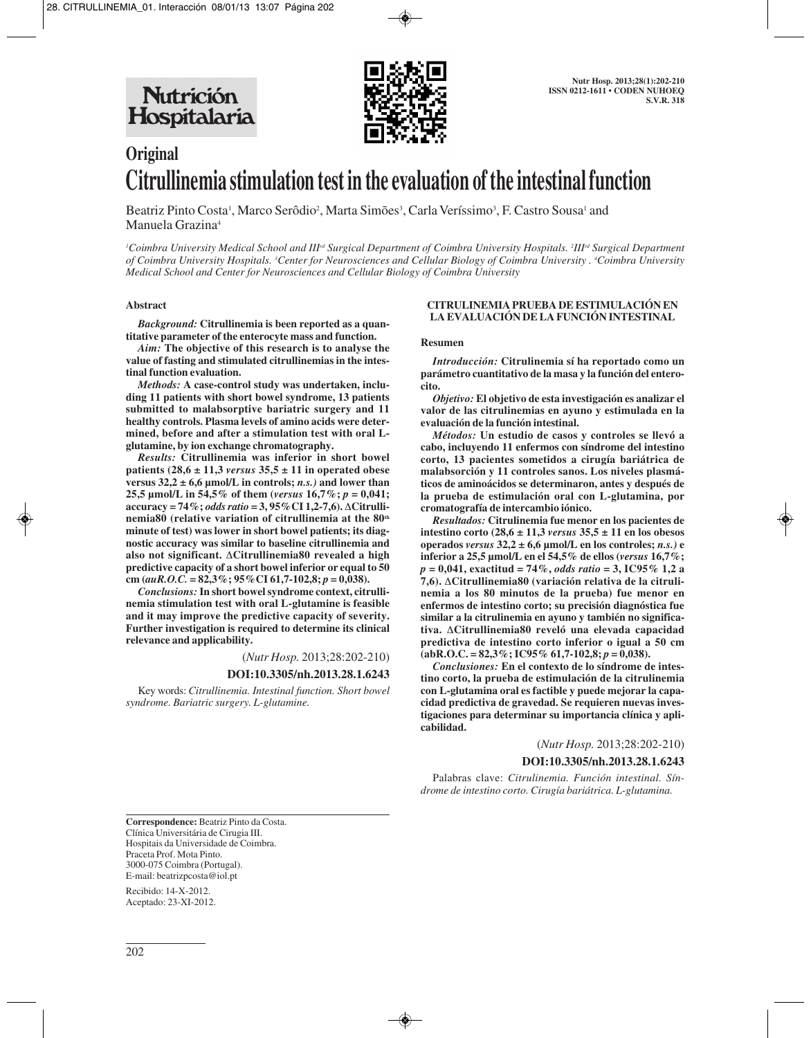**Nutrición** Hospitalaria



# **Original Citrullinemia stimulation test in the evaluation of the intestinal function**

Beatriz Pinto Costa<sup>1</sup>, Marco Serôdio<sup>2</sup>, Marta Simões<sup>3</sup>, Carla Veríssimo<sup>3</sup>, F. Castro Sousa<sup>1</sup> and Manuela Grazina4

*1 Coimbra University Medical School and IIIrd Surgical Department of Coimbra University Hospitals. 2 IIIrd Surgical Department of Coimbra University Hospitals. 3 Center for Neurosciences and Cellular Biology of Coimbra University . 4 Coimbra University Medical School and Center for Neurosciences and Cellular Biology of Coimbra University*

### **Abstract**

*Background:* **Citrullinemia is been reported as a quantitative parameter of the enterocyte mass and function.**

*Aim:* **The objective of this research is to analyse the value of fasting and stimulated citrullinemias in the intestinal function evaluation.**

*Methods:* **A case-control study was undertaken, including 11 patients with short bowel syndrome, 13 patients submitted to malabsorptive bariatric surgery and 11 healthy controls. Plasma levels of amino acids were determined, before and after a stimulation test with oral Lglutamine, by ion exchange chromatography.** 

*Results:* **Citrullinemia was inferior in short bowel patients**  $(28.6 \pm 11.3 \text{ versus } 35.5 \pm 11 \text{ in operated obese})$ **versus 32,2**  $\pm$  6,6 µmol/L in controls; *n.s.*) and lower than **25,5 µmol/L in 54,5% of them (***versus* **16,7%;** *p =* **0,041; accuracy = 74%;** *odds ratio* **= 3, 95%CI 1,2-7,6).** Δ**Citrulli**nemia80 (relative variation of citrullinemia at the 80<sup>th</sup> **minute of test) was lower in short bowel patients; its diagnostic accuracy was similar to baseline citrullinemia and also not significant.** Δ**Citrullinemia80 revealed a high predictive capacity of a short bowel inferior or equal to 50 cm (***auR.O.C. =* **82,3%; 95%CI 61,7-102,8;** *p =* **0,038).**

*Conclusions:* **In short bowel syndrome context, citrullinemia stimulation test with oral L-glutamine is feasible and it may improve the predictive capacity of severity. Further investigation is required to determine its clinical relevance and applicability.** 

(*Nutr Hosp.* 2013;28:202-210)

# **DOI:10.3305/nh.2013.28.1.6243**

Key words: *Citrullinemia. Intestinal function. Short bowel syndrome. Bariatric surgery. L-glutamine.*

#### **CITRULINEMIA PRUEBA DE ESTIMULACIÓN EN LA EVALUACIÓN DE LA FUNCIÓN INTESTINAL**

#### **Resumen**

*Introducción:* **Citrulinemia sí ha reportado como un parámetro cuantitativo de la masa y la función del enterocito.** 

*Objetivo:* **El objetivo de esta investigación es analizar el valor de las citrulinemias en ayuno y estimulada en la evaluación de la función intestinal.**

*Métodos:* **Un estudio de casos y controles se llevó a cabo, incluyendo 11 enfermos con síndrome del intestino corto, 13 pacientes sometidos a cirugía bariátrica de malabsorción y 11 controles sanos. Los niveles plasmáticos de aminoácidos se determinaron, antes y después de la prueba de estimulación oral con L-glutamina, por cromatografía de intercambio iónico.**

*Resultados:* **Citrulinemia fue menor en los pacientes de intestino corto (28,6 ± 11,3** *versus* **35,5 ± 11 en los obesos operados** *versus* **32,2 ± 6,6 µmol/L en los controles;** *n.s.)* **e inferior a 25,5 µmol/L en el 54,5% de ellos (***versus* **16,7%;** *p =* **0,041, exactitud = 74%,** *odds ratio =* **3, IC95% 1,2 a 7,6).** Δ**Citrullinemia80 (variación relativa de la citrulinemia a los 80 minutos de la prueba) fue menor en enfermos de intestino corto; su precisión diagnóstica fue similar a la citrulinemia en ayuno y también no significativa.** Δ**Citrullinemia80 reveló una elevada capacidad predictiva de intestino corto inferior o igual a 50 cm**  $(a b R. O.C. = 82,3\%; IC95\% 61,7-102,8; p = 0,038).$ 

*Conclusiones:* **En el contexto de lo síndrome de intestino corto, la prueba de estimulación de la citrulinemia con L-glutamina oral es factible y puede mejorar la capacidad predictiva de gravedad. Se requieren nuevas investigaciones para determinar su importancia clínica y aplicabilidad.** 

(*Nutr Hosp.* 2013;28:202-210)

#### **DOI:10.3305/nh.2013.28.1.6243**

Palabras clave: *Citrulinemia. Función intestinal. Síndrome de intestino corto. Cirugía bariátrica. L-glutamina.*

**Correspondence:** Beatriz Pinto da Costa. Clínica Universitária de Cirugia III. Hospitais da Universidade de Coimbra. Praceta Prof. Mota Pinto. 3000-075 Coimbra (Portugal). E-mail: beatrizpcosta@iol.pt

Recibido: 14-X-2012. Aceptado: 23-XI-2012.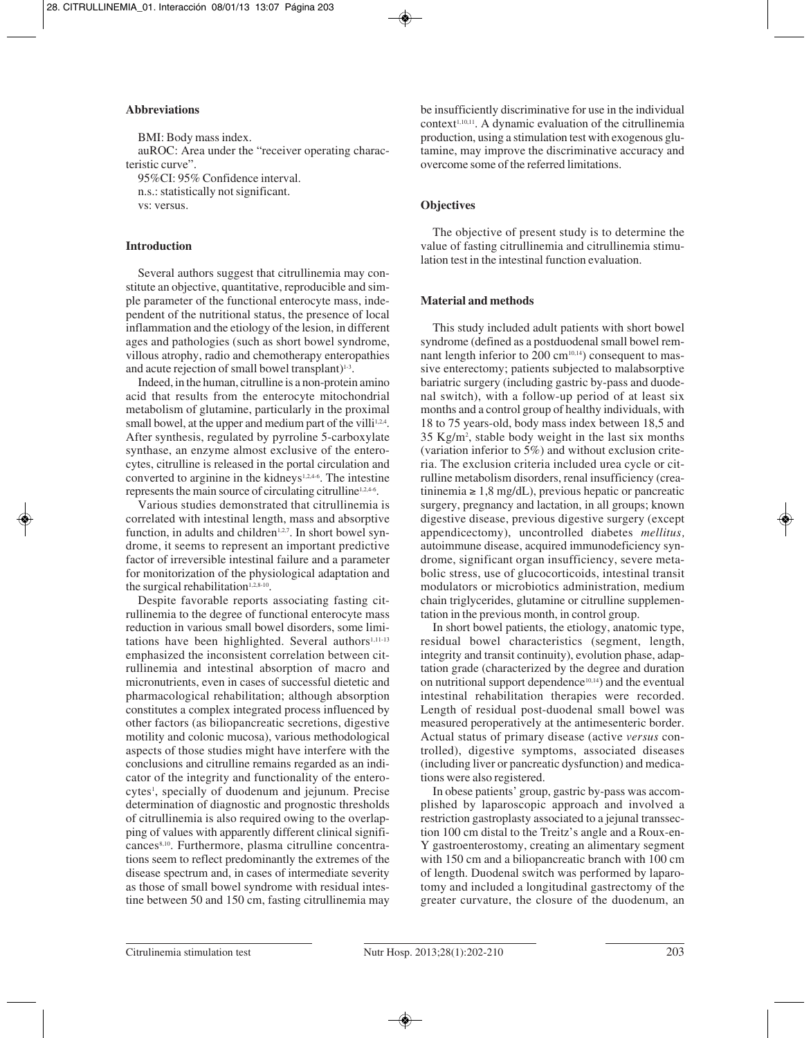# **Abbreviations**

BMI: Body mass index. auROC: Area under the "receiver operating characteristic curve". 95%CI: 95% Confidence interval. n.s.: statistically not significant. vs: versus.

# **Introduction**

Several authors suggest that citrullinemia may constitute an objective, quantitative, reproducible and simple parameter of the functional enterocyte mass, independent of the nutritional status, the presence of local inflammation and the etiology of the lesion, in different ages and pathologies (such as short bowel syndrome, villous atrophy, radio and chemotherapy enteropathies and acute rejection of small bowel transplant)<sup>1-3</sup>.

Indeed, in the human, citrulline is a non-protein amino acid that results from the enterocyte mitochondrial metabolism of glutamine, particularly in the proximal small bowel, at the upper and medium part of the villi<sup>1,2,4</sup>. After synthesis, regulated by pyrroline 5-carboxylate synthase, an enzyme almost exclusive of the enterocytes, citrulline is released in the portal circulation and converted to arginine in the kidneys1,2,4-6. The intestine represents the main source of circulating citrulline<sup>1,2,4-6</sup>.

Various studies demonstrated that citrullinemia is correlated with intestinal length, mass and absorptive function, in adults and children<sup>1,2,7</sup>. In short bowel syndrome, it seems to represent an important predictive factor of irreversible intestinal failure and a parameter for monitorization of the physiological adaptation and the surgical rehabilitation $1,2,8-10$ .

Despite favorable reports associating fasting citrullinemia to the degree of functional enterocyte mass reduction in various small bowel disorders, some limitations have been highlighted. Several authors<sup>1,11-13</sup> emphasized the inconsistent correlation between citrullinemia and intestinal absorption of macro and micronutrients, even in cases of successful dietetic and pharmacological rehabilitation; although absorption constitutes a complex integrated process influenced by other factors (as biliopancreatic secretions, digestive motility and colonic mucosa), various methodological aspects of those studies might have interfere with the conclusions and citrulline remains regarded as an indicator of the integrity and functionality of the enterocytes<sup>1</sup>, specially of duodenum and jejunum. Precise determination of diagnostic and prognostic thresholds of citrullinemia is also required owing to the overlapping of values with apparently different clinical significances8,10. Furthermore, plasma citrulline concentrations seem to reflect predominantly the extremes of the disease spectrum and, in cases of intermediate severity as those of small bowel syndrome with residual intestine between 50 and 150 cm, fasting citrullinemia may

be insufficiently discriminative for use in the individual  $context<sup>1,10,11</sup>$ . A dynamic evaluation of the citrullinemia production, using a stimulation test with exogenous glutamine, may improve the discriminative accuracy and overcome some of the referred limitations.

# **Objectives**

The objective of present study is to determine the value of fasting citrullinemia and citrullinemia stimulation test in the intestinal function evaluation.

# **Material and methods**

This study included adult patients with short bowel syndrome (defined as a postduodenal small bowel remnant length inferior to  $200 \text{ cm}^{10,14}$ ) consequent to massive enterectomy; patients subjected to malabsorptive bariatric surgery (including gastric by-pass and duodenal switch), with a follow-up period of at least six months and a control group of healthy individuals, with 18 to 75 years-old, body mass index between 18,5 and 35 Kg/m2 , stable body weight in the last six months (variation inferior to 5%) and without exclusion criteria. The exclusion criteria included urea cycle or citrulline metabolism disorders, renal insufficiency (creatininemia  $\geq 1.8$  mg/dL), previous hepatic or pancreatic surgery, pregnancy and lactation, in all groups; known digestive disease, previous digestive surgery (except appendicectomy), uncontrolled diabetes *mellitus,* autoimmune disease, acquired immunodeficiency syndrome, significant organ insufficiency, severe metabolic stress, use of glucocorticoids, intestinal transit modulators or microbiotics administration, medium chain triglycerides, glutamine or citrulline supplementation in the previous month, in control group.

In short bowel patients, the etiology, anatomic type, residual bowel characteristics (segment, length, integrity and transit continuity), evolution phase, adaptation grade (characterized by the degree and duration on nutritional support dependence<sup>10,14</sup>) and the eventual intestinal rehabilitation therapies were recorded. Length of residual post-duodenal small bowel was measured peroperatively at the antimesenteric border. Actual status of primary disease (active *versus* controlled), digestive symptoms, associated diseases (including liver or pancreatic dysfunction) and medications were also registered.

In obese patients' group, gastric by-pass was accomplished by laparoscopic approach and involved a restriction gastroplasty associated to a jejunal transsection 100 cm distal to the Treitz's angle and a Roux-en-Y gastroenterostomy, creating an alimentary segment with 150 cm and a biliopancreatic branch with 100 cm of length. Duodenal switch was performed by laparotomy and included a longitudinal gastrectomy of the greater curvature, the closure of the duodenum, an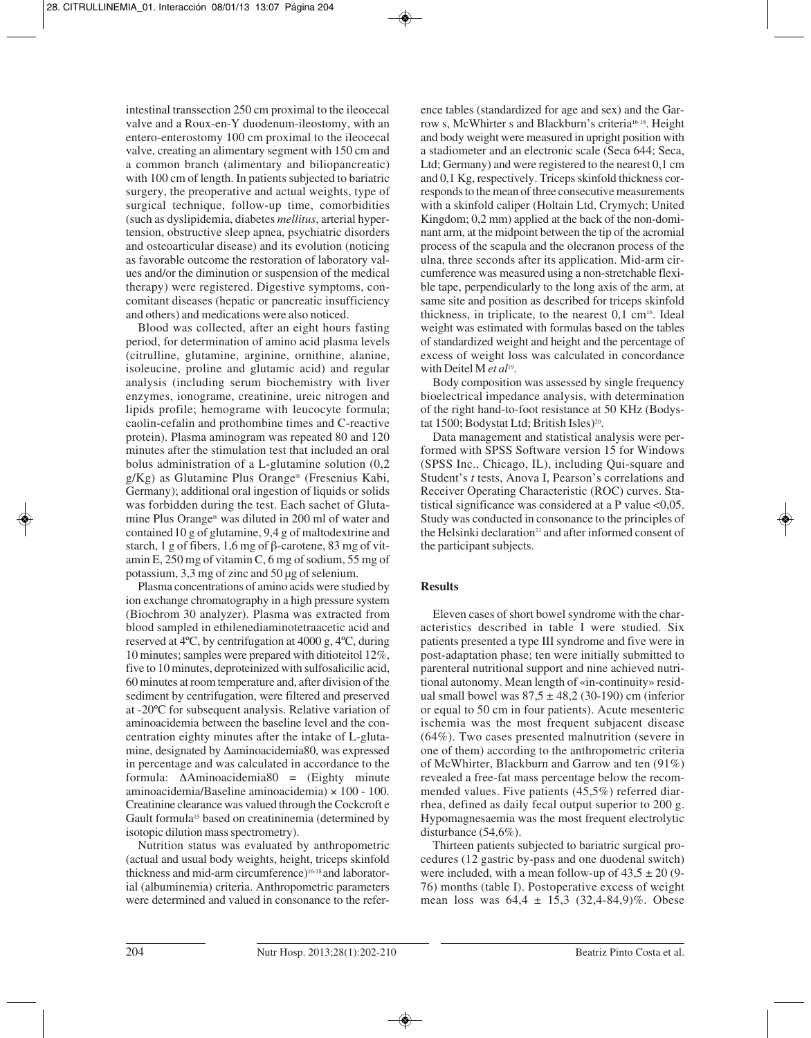intestinal transsection 250 cm proximal to the ileocecal valve and a Roux-en-Y duodenum-ileostomy, with an entero-enterostomy 100 cm proximal to the ileocecal valve, creating an alimentary segment with 150 cm and a common branch (alimentary and biliopancreatic) with 100 cm of length. In patients subjected to bariatric surgery, the preoperative and actual weights, type of surgical technique, follow-up time, comorbidities (such as dyslipidemia, diabetes *mellitus*, arterial hypertension, obstructive sleep apnea, psychiatric disorders and osteoarticular disease) and its evolution (noticing as favorable outcome the restoration of laboratory values and/or the diminution or suspension of the medical therapy) were registered. Digestive symptoms, concomitant diseases (hepatic or pancreatic insufficiency and others) and medications were also noticed.

Blood was collected, after an eight hours fasting period, for determination of amino acid plasma levels (citrulline, glutamine, arginine, ornithine, alanine, isoleucine, proline and glutamic acid) and regular analysis (including serum biochemistry with liver enzymes, ionograme, creatinine, ureic nitrogen and lipids profile; hemograme with leucocyte formula; caolin-cefalin and prothombine times and C-reactive protein). Plasma aminogram was repeated 80 and 120 minutes after the stimulation test that included an oral bolus administration of a L-glutamine solution (0,2 g/Kg) as Glutamine Plus Orange® (Fresenius Kabi, Germany); additional oral ingestion of liquids or solids was forbidden during the test. Each sachet of Glutamine Plus Orange® was diluted in 200 ml of water and contained10 g of glutamine, 9,4 g of maltodextrine and starch, 1 g of fibers, 1,6 mg of β-carotene, 83 mg of vitamin E, 250 mg of vitamin C, 6 mg of sodium, 55 mg of potassium, 3,3 mg of zinc and 50 µg of selenium.

Plasma concentrations of amino acids were studied by ion exchange chromatography in a high pressure system (Biochrom 30 analyzer). Plasma was extracted from blood sampled in ethilenediaminotetraacetic acid and reserved at 4ºC, by centrifugation at 4000 g, 4ºC, during 10 minutes; samples were prepared with ditioteitol 12%, five to 10 minutes, deproteinized with sulfosalicilic acid, 60 minutes at room temperature and, after division of the sediment by centrifugation, were filtered and preserved at -20ºC for subsequent analysis. Relative variation of aminoacidemia between the baseline level and the concentration eighty minutes after the intake of L-glutamine, designated by Δaminoacidemia80, was expressed in percentage and was calculated in accordance to the formula: ΔAminoacidemia80 = (Eighty minute aminoacidemia/Baseline aminoacidemia) × 100 - 100. Creatinine clearance was valued through the Cockcroft e Gault formula<sup>15</sup> based on creatininemia (determined by isotopic dilution mass spectrometry).

Nutrition status was evaluated by anthropometric (actual and usual body weights, height, triceps skinfold thickness and mid-arm circumference)<sup>16-18</sup> and laboratorial (albuminemia) criteria. Anthropometric parameters were determined and valued in consonance to the reference tables (standardized for age and sex) and the Garrow s, McWhirter s and Blackburn's criteria16-18. Height and body weight were measured in upright position with a stadiometer and an electronic scale (Seca 644; Seca, Ltd; Germany) and were registered to the nearest 0,1 cm and 0,1 Kg, respectively. Triceps skinfold thickness corresponds to the mean of three consecutive measurements with a skinfold caliper (Holtain Ltd, Crymych; United Kingdom; 0,2 mm) applied at the back of the non-dominant arm, at the midpoint between the tip of the acromial process of the scapula and the olecranon process of the ulna, three seconds after its application. Mid-arm circumference was measured using a non-stretchable flexible tape, perpendicularly to the long axis of the arm, at same site and position as described for triceps skinfold thickness, in triplicate, to the nearest  $0,1$  cm<sup>16</sup>. Ideal weight was estimated with formulas based on the tables of standardized weight and height and the percentage of excess of weight loss was calculated in concordance with Deitel M *et al*<sup>19</sup>.

Body composition was assessed by single frequency bioelectrical impedance analysis, with determination of the right hand-to-foot resistance at 50 KHz (Bodystat 1500; Bodystat Ltd; British Isles)<sup>20</sup>.

Data management and statistical analysis were performed with SPSS Software version 15 for Windows (SPSS Inc., Chicago, IL), including Qui-square and Student's *t* tests, Anova I, Pearson's correlations and Receiver Operating Characteristic (ROC) curves. Statistical significance was considered at a P value <0,05. Study was conducted in consonance to the principles of the Helsinki declaration<sup>21</sup> and after informed consent of the participant subjects.

# **Results**

Eleven cases of short bowel syndrome with the characteristics described in table I were studied. Six patients presented a type III syndrome and five were in post-adaptation phase; ten were initially submitted to parenteral nutritional support and nine achieved nutritional autonomy. Mean length of «in-continuity» residual small bowel was  $87.5 \pm 48.2$  (30-190) cm (inferior or equal to 50 cm in four patients). Acute mesenteric ischemia was the most frequent subjacent disease (64%). Two cases presented malnutrition (severe in one of them) according to the anthropometric criteria of McWhirter, Blackburn and Garrow and ten (91%) revealed a free-fat mass percentage below the recommended values. Five patients (45,5%) referred diarrhea, defined as daily fecal output superior to 200 g. Hypomagnesaemia was the most frequent electrolytic disturbance (54,6%).

Thirteen patients subjected to bariatric surgical procedures (12 gastric by-pass and one duodenal switch) were included, with a mean follow-up of  $43.5 \pm 20$  (9-76) months (table I). Postoperative excess of weight mean loss was 64,4 ± 15,3 (32,4-84,9)%. Obese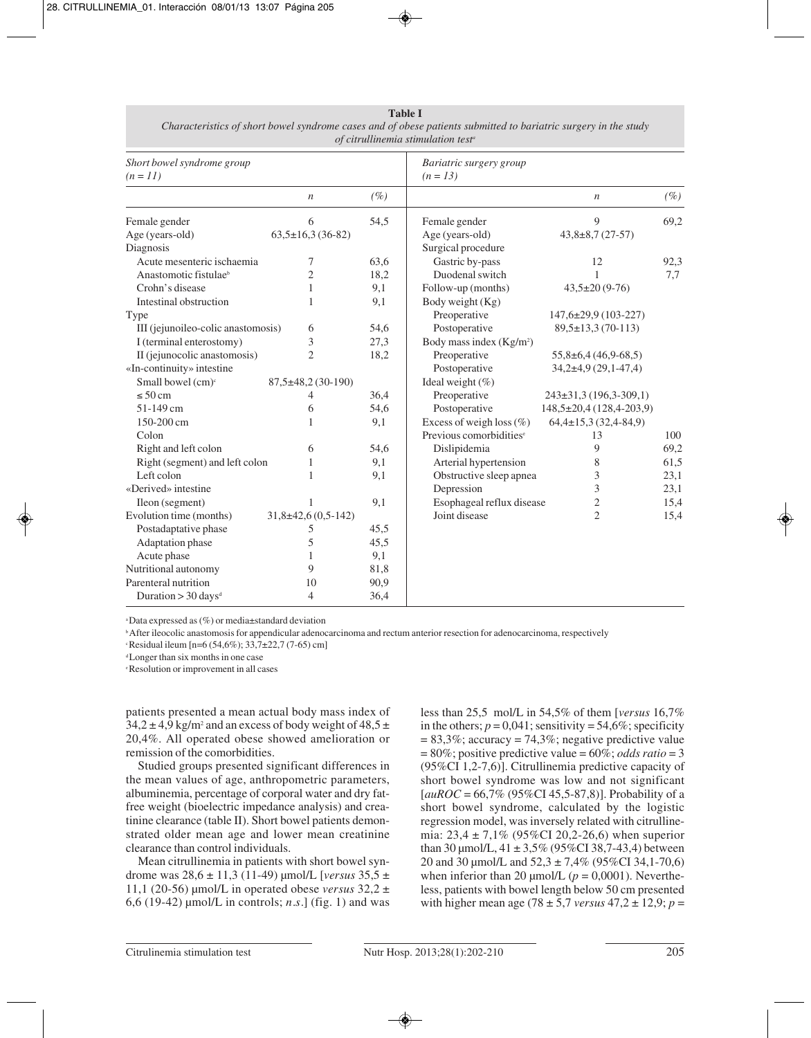| <b>Table I</b>                                                                                                  |
|-----------------------------------------------------------------------------------------------------------------|
| Characteristics of short bowel syndrome cases and of obese patients submitted to bariatric surgery in the study |
| of citrullinemia stimulation test <sup>a</sup>                                                                  |

| Short bowel syndrome group<br>$(n = 11)$  |                          |        | Bariatric surgery group<br>$(n = 13)$ |                            |        |
|-------------------------------------------|--------------------------|--------|---------------------------------------|----------------------------|--------|
|                                           | $\boldsymbol{n}$         | $(\%)$ |                                       | $\boldsymbol{n}$           | $(\%)$ |
| Female gender                             | 6                        | 54,5   | Female gender                         | 9                          | 69,2   |
| Age (years-old)                           | $63,5\pm16,3(36-82)$     |        | Age (years-old)                       | $43,8 \pm 8,7(27-57)$      |        |
| Diagnosis                                 |                          |        | Surgical procedure                    |                            |        |
| Acute mesenteric ischaemia                | 7                        | 63,6   | Gastric by-pass                       | 12                         | 92,3   |
| Anastomotic fistulae <sup>b</sup>         | $\overline{c}$           | 18,2   | Duodenal switch                       | 1                          | 7,7    |
| Crohn's disease                           | 1                        | 9,1    | Follow-up (months)                    | $43,5 \pm 20(9-76)$        |        |
| Intestinal obstruction                    | 1                        | 9,1    | Body weight (Kg)                      |                            |        |
| Type                                      |                          |        | Preoperative                          | $147,6 \pm 29,9$ (103-227) |        |
| III (jejunoileo-colic anastomosis)        | 6                        | 54,6   | Postoperative                         | $89,5\pm13,3(70-113)$      |        |
| I (terminal enterostomy)                  | 3                        | 27,3   | Body mass index (Kg/m <sup>2</sup> )  |                            |        |
| II (jejunocolic anastomosis)              | $\overline{c}$           | 18,2   | Preoperative                          | $55,8\pm 6,4(46,9-68,5)$   |        |
| «In-continuity» intestine                 |                          |        | Postoperative                         | $34,2\pm 4,9(29,1-47,4)$   |        |
| Small bowel (cm) <sup>c</sup>             | 87,5±48,2 (30-190)       |        | Ideal weight $(\%)$                   |                            |        |
| $\leq 50$ cm                              | 4                        | 36,4   | Preoperative                          | $243\pm31,3(196,3-309,1)$  |        |
| 51-149 cm                                 | 6                        | 54,6   | Postoperative                         | 148,5±20,4 (128,4-203,9)   |        |
| 150-200 cm                                | 1                        | 9,1    | Excess of weigh loss $(\%)$           | $64,4\pm 15,3(32,4-84,9)$  |        |
| Colon                                     |                          |        | Previous comorbidities <sup>e</sup>   | 13                         | 100    |
| Right and left colon                      | 6                        | 54,6   | Dislipidemia                          | 9                          | 69,2   |
| Right (segment) and left colon            | 1                        | 9,1    | Arterial hypertension                 | 8                          | 61,5   |
| Left colon                                | 1                        | 9,1    | Obstructive sleep apnea               | 3                          | 23,1   |
| «Derived» intestine                       |                          |        | Depression                            | 3                          | 23,1   |
| Ileon (segment)                           | 1                        | 9,1    | Esophageal reflux disease             | $\overline{c}$             | 15,4   |
| Evolution time (months)                   | $31,8 \pm 42,6(0,5-142)$ |        | Joint disease                         | $\overline{c}$             | 15,4   |
| Postadaptative phase                      | 5                        | 45,5   |                                       |                            |        |
| Adaptation phase                          | 5                        | 45,5   |                                       |                            |        |
| Acute phase                               | 1                        | 9,1    |                                       |                            |        |
| Nutritional autonomy                      | 9                        | 81,8   |                                       |                            |        |
| Parenteral nutrition                      | 10                       | 90,9   |                                       |                            |        |
| Duration $> 30 \text{ days}$ <sup>d</sup> | 4                        | 36,4   |                                       |                            |        |

a Data expressed as (%) or media±standard deviation

b After ileocolic anastomosis for appendicular adenocarcinoma and rectum anterior resection for adenocarcinoma, respectively

 $Residual$  ileum [n=6 (54,6%); 33,7±22,7 (7-65) cm]

d Longer than six months in one case

e Resolution or improvement in all cases

patients presented a mean actual body mass index of  $34.2 \pm 4.9$  kg/m<sup>2</sup> and an excess of body weight of  $48.5 \pm 1.5$ 20,4%. All operated obese showed amelioration or remission of the comorbidities.

Studied groups presented significant differences in the mean values of age, anthropometric parameters, albuminemia, percentage of corporal water and dry fatfree weight (bioelectric impedance analysis) and creatinine clearance (table II). Short bowel patients demonstrated older mean age and lower mean creatinine clearance than control individuals.

Mean citrullinemia in patients with short bowel syndrome was 28,6 ± 11,3 (11-49) µmol/L [*versus* 35,5 ± 11,1 (20-56) µmol/L in operated obese *versus*  $32.2 \pm$ 6,6 (19-42)  $\mu$ mol/L in controls; *n.s.*] (fig. 1) and was less than 25,5 mol/L in 54,5% of them [*versus* 16,7% in the others;  $p = 0.041$ ; sensitivity = 54,6%; specificity  $= 83,3\%$ ; accuracy  $= 74,3\%$ ; negative predictive value = 80%; positive predictive value = 60%; *odds ratio* = 3 (95%CI 1,2-7,6)]. Citrullinemia predictive capacity of short bowel syndrome was low and not significant [*auROC* = 66,7% (95%CI 45,5-87,8)]. Probability of a short bowel syndrome, calculated by the logistic regression model, was inversely related with citrullinemia: 23,4 ± 7,1% (95%CI 20,2-26,6) when superior than 30  $\mu$ mol/L, 41 ± 3,5% (95%CI 38,7-43,4) between 20 and 30 µmol/L and  $52.3 \pm 7.4\%$  (95%CI 34,1-70,6) when inferior than 20  $\mu$ mol/L ( $p = 0.0001$ ). Nevertheless, patients with bowel length below 50 cm presented with higher mean age  $(78 \pm 5.7 \text{ versus } 47.2 \pm 12.9; p =$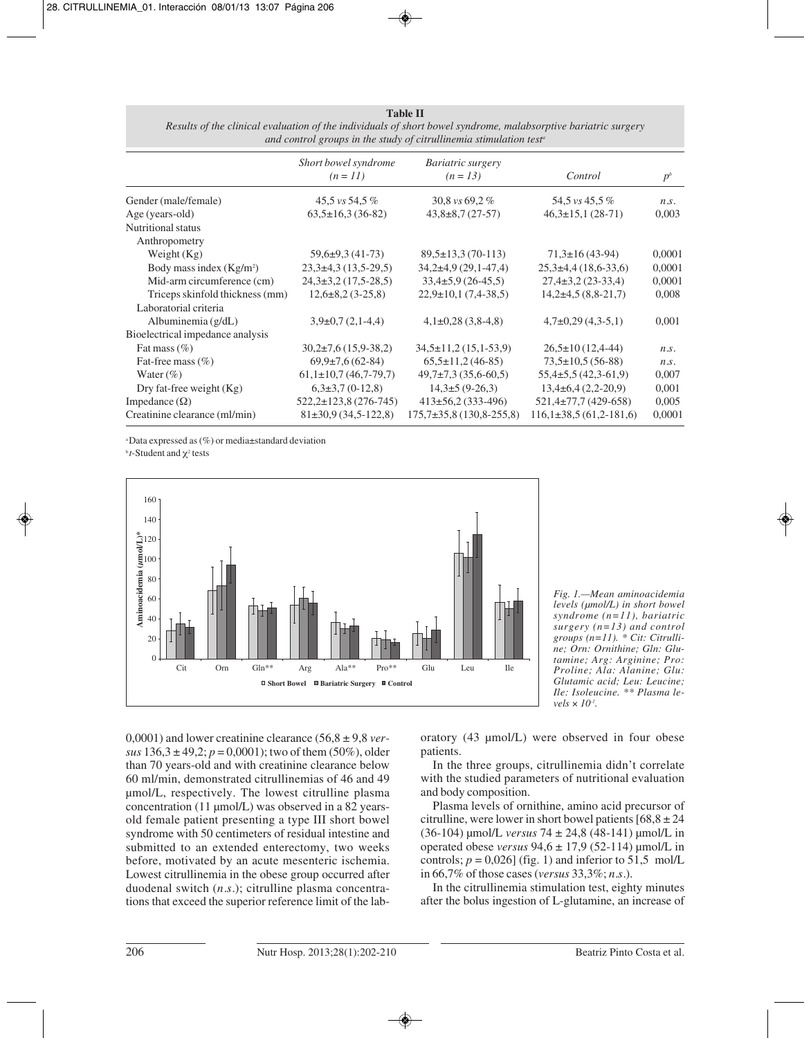| <b>Table II</b>                                                                                                |
|----------------------------------------------------------------------------------------------------------------|
| Results of the clinical evaluation of the individuals of short bowel syndrome, malabsorptive bariatric surgery |
| and control groups in the study of citrullinemia stimulation test <sup><math>\alpha</math></sup>               |

|                                  | Short bowel syndrome<br>$(n = 11)$ | Bariatric surgery<br>$(n = 13)$ | Control                    | $p^b$  |
|----------------------------------|------------------------------------|---------------------------------|----------------------------|--------|
| Gender (male/female)             | 45.5 $vs$ 54.5 $%$                 | 30,8 $vs$ 69,2 %                | 54,5 <i>vs</i> 45,5 %      | n.s.   |
| Age (years-old)                  | $63,5\pm16,3(36-82)$               | $43,8\pm8,7(27-57)$             | $46,3\pm 15,1(28-71)$      | 0,003  |
| Nutritional status               |                                    |                                 |                            |        |
| Anthropometry                    |                                    |                                 |                            |        |
| Weight $(Kg)$                    | $59,6\pm9,3(41-73)$                | $89,5\pm13,3(70-113)$           | $71.3 \pm 16(43-94)$       | 0,0001 |
| Body mass index $(Kg/m2)$        | $23,3\pm4,3(13,5-29,5)$            | $34,2\pm4,9(29,1-47,4)$         | $25,3\pm4,4(18,6-33,6)$    | 0,0001 |
| Mid-arm circumference (cm)       | $24,3 \pm 3,2(17,5-28,5)$          | $33,4\pm5,9(26-45,5)$           | $27,4\pm3,2(23-33,4)$      | 0,0001 |
| Triceps skinfold thickness (mm)  | $12,6\pm8,2(3-25,8)$               | $22,9 \pm 10,1 (7,4-38,5)$      | $14,2\pm 4,5(8,8-21,7)$    | 0,008  |
| Laboratorial criteria            |                                    |                                 |                            |        |
| Albuminemia $(g/dL)$             | $3,9\pm0,7(2,1-4,4)$               | $4,1\pm0.28$ (3.8-4.8)          | $4,7\pm0.29$ (4.3-5,1)     | 0,001  |
| Bioelectrical impedance analysis |                                    |                                 |                            |        |
| Fat mass $(\% )$                 | $30,2\pm7,6(15,9-38,2)$            | $34.5 \pm 11.2(15.1 - 53.9)$    | $26,5\pm10(12,4-44)$       | n.s.   |
| Fat-free mass $(\% )$            | $69,9\pm7,6(62-84)$                | $65,5\pm11,2(46-85)$            | $73,5 \pm 10,5(56-88)$     | n.s.   |
| Water $(\% )$                    | $61,1\pm10,7(46,7-79,7)$           | $49,7\pm7,3$ (35,6-60,5)        | $55,4\pm 5,5(42,3-61,9)$   | 0,007  |
| Dry fat-free weight $(Kg)$       | $6,3\pm3,7(0-12,8)$                | $14.3 \pm 5(9 - 26.3)$          | $13,4\pm 6,4(2,2-20,9)$    | 0,001  |
| Impedance $(\Omega)$             | $522,2\pm 123,8(276-745)$          | $413\pm56.2$ (333-496)          | $521,4\pm 77,7(429-658)$   | 0,005  |
| Creatinine clearance (ml/min)    | $81\pm30.9(34.5-122.8)$            | $175,7\pm35,8(130,8-255,8)$     | $116,1\pm38,5(61,2-181,6)$ | 0,0001 |

a Data expressed as (%) or media±standard deviation

<sup>b</sup>t-Student and χ<sup>2</sup> tests



*Fig. 1.—Mean aminoacidemia levels (µmol/L) in short bowel syndrome (n=11), bariatric surgery (n=13) and control groups (n=11). \* Cit: Citrulline; Orn: Ornithine; Gln: Glutamine; Arg: Arginine; Pro: Proline; Ala: Alanine; Glu: Glutamic acid; Leu: Leucine; Ile: Isoleucine. \*\* Plasma le* $vels \times 10^{-1}$ .

0,0001) and lower creatinine clearance  $(56.8 \pm 9.8 \text{ ver-}$ *sus*  $136.3 \pm 49.2$ ;  $p = 0.0001$ ); two of them  $(50\%)$ , older than 70 years-old and with creatinine clearance below 60 ml/min, demonstrated citrullinemias of 46 and 49 µmol/L, respectively. The lowest citrulline plasma concentration (11 µmol/L) was observed in a 82 yearsold female patient presenting a type III short bowel syndrome with 50 centimeters of residual intestine and submitted to an extended enterectomy, two weeks before, motivated by an acute mesenteric ischemia. Lowest citrullinemia in the obese group occurred after duodenal switch (*n.s.*); citrulline plasma concentrations that exceed the superior reference limit of the laboratory (43 µmol/L) were observed in four obese patients.

In the three groups, citrullinemia didn't correlate with the studied parameters of nutritional evaluation and body composition.

Plasma levels of ornithine, amino acid precursor of citrulline, were lower in short bowel patients  $[68.8 \pm 24]$ (36-104) µmol/L *versus* 74 ± 24,8 (48-141) µmol/L in operated obese *versus*  $94.6 \pm 17.9$  (52-114) µmol/L in controls;  $p = 0.026$  (fig. 1) and inferior to 51,5 mol/L in 66,7% of those cases (*versus* 33,3%; *n.s.*).

In the citrullinemia stimulation test, eighty minutes after the bolus ingestion of L-glutamine, an increase of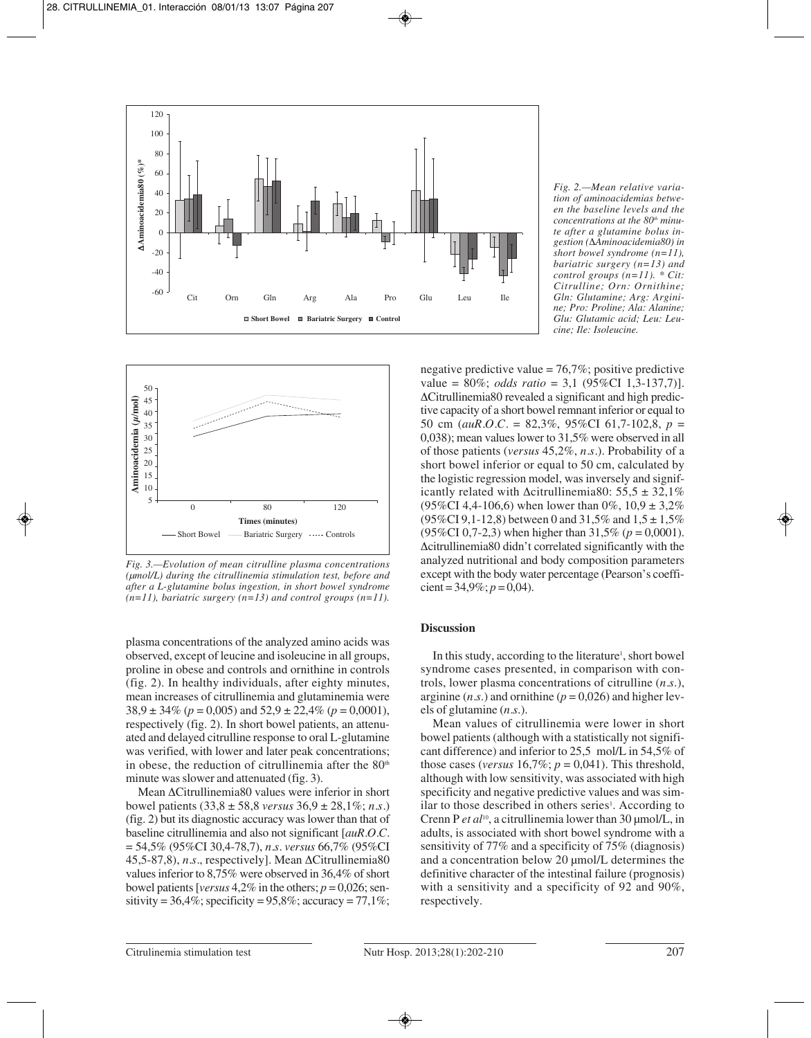

*Fig. 2.—Mean relative variation of aminoacidemias between the baseline levels and the* concentrations at the 80<sup>th</sup> minu*te after a glutamine bolus ingestion (*Δ*Aminoacidemia80) in short bowel syndrome (n=11), bariatric surgery (n=13) and control groups (n=11). \* Cit: Citrulline; Orn: Ornithine; Gln: Glutamine; Arg: Arginine; Pro: Proline; Ala: Alanine; Glu: Glutamic acid; Leu: Leucine; Ile: Isoleucine.*



*Fig. 3.—Evolution of mean citrulline plasma concentrations (µmol/L) during the citrullinemia stimulation test, before and after a L-glutamine bolus ingestion, in short bowel syndrome (n=11), bariatric surgery (n=13) and control groups (n=11).*

plasma concentrations of the analyzed amino acids was observed, except of leucine and isoleucine in all groups, proline in obese and controls and ornithine in controls (fig. 2). In healthy individuals, after eighty minutes, mean increases of citrullinemia and glutaminemia were 38,9 ± 34% (*p* = 0,005) and 52,9 ± 22,4% (*p* = 0,0001), respectively (fig. 2). In short bowel patients, an attenuated and delayed citrulline response to oral L-glutamine was verified, with lower and later peak concentrations; in obese, the reduction of citrullinemia after the  $80<sup>th</sup>$ minute was slower and attenuated (fig. 3).

Mean ΔCitrullinemia80 values were inferior in short bowel patients (33,8 ± 58,8 *versus* 36,9 ± 28,1%; *n.s.*) (fig. 2) but its diagnostic accuracy was lower than that of baseline citrullinemia and also not significant [*auR.O.C.* = 54,5% (95%CI 30,4-78,7), *n.s. versus* 66,7% (95%CI 45,5-87,8), *n.s.*, respectively]. Mean ΔCitrullinemia80 values inferior to 8,75% were observed in 36,4% of short bowel patients [*versus*  $4,2\%$  in the others;  $p = 0.026$ ; sensitivity =  $36,4\%$ ; specificity =  $95,8\%$ ; accuracy =  $77,1\%$ ; negative predictive value  $= 76,7\%$ ; positive predictive value = 80%; *odds ratio* = 3,1 (95%CI 1,3-137,7)]. ΔCitrullinemia80 revealed a significant and high predictive capacity of a short bowel remnant inferior or equal to 50 cm (*auR.O.C.* = 82,3%, 95%CI 61,7-102,8, *p* = 0,038); mean values lower to 31,5% were observed in all of those patients (*versus* 45,2%, *n.s.*). Probability of a short bowel inferior or equal to 50 cm, calculated by the logistic regression model, was inversely and significantly related with  $\Delta$ citrullinemia80: 55,5  $\pm$  32,1% (95%CI 4,4-106,6) when lower than  $0\%$ ,  $10.9 \pm 3.2\%$ (95%CI 9,1-12,8) between 0 and 31,5% and  $1.5 \pm 1.5$ % (95%CI 0,7-2,3) when higher than 31,5% (*p* = 0,0001). Δcitrullinemia80 didn't correlated significantly with the analyzed nutritional and body composition parameters except with the body water percentage (Pearson's coeffi $cient = 34.9\%$ ;  $p = 0.04$ ).

## **Discussion**

In this study, according to the literature<sup>1</sup>, short bowel syndrome cases presented, in comparison with controls, lower plasma concentrations of citrulline (*n.s*.), arginine  $(n.s.)$  and ornithine  $(p = 0,026)$  and higher levels of glutamine (*n.s*.).

Mean values of citrullinemia were lower in short bowel patients (although with a statistically not significant difference) and inferior to 25,5 mol/L in 54,5% of those cases (*versus* 16,7%;  $p = 0.041$ ). This threshold, although with low sensitivity, was associated with high specificity and negative predictive values and was similar to those described in others series<sup>1</sup>. According to Crenn P *et al*<sup>10</sup>, a citrullinemia lower than 30 µmol/L, in adults, is associated with short bowel syndrome with a sensitivity of 77% and a specificity of 75% (diagnosis) and a concentration below 20 µmol/L determines the definitive character of the intestinal failure (prognosis) with a sensitivity and a specificity of 92 and 90%, respectively.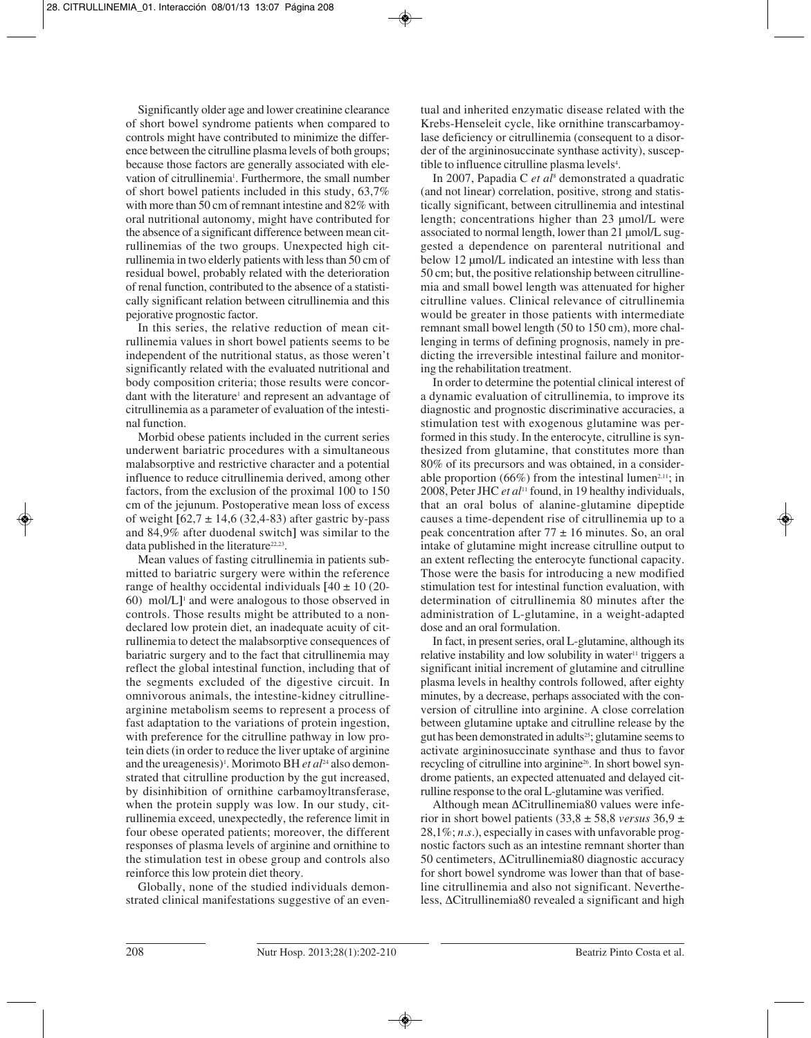Significantly older age and lower creatinine clearance of short bowel syndrome patients when compared to controls might have contributed to minimize the difference between the citrulline plasma levels of both groups; because those factors are generally associated with elevation of citrullinemia<sup>1</sup>. Furthermore, the small number of short bowel patients included in this study, 63,7% with more than 50 cm of remnant intestine and 82% with oral nutritional autonomy, might have contributed for the absence of a significant difference between mean citrullinemias of the two groups. Unexpected high citrullinemia in two elderly patients with less than 50 cm of residual bowel, probably related with the deterioration of renal function, contributed to the absence of a statistically significant relation between citrullinemia and this pejorative prognostic factor.

In this series, the relative reduction of mean citrullinemia values in short bowel patients seems to be independent of the nutritional status, as those weren't significantly related with the evaluated nutritional and body composition criteria; those results were concordant with the literature<sup>1</sup> and represent an advantage of citrullinemia as a parameter of evaluation of the intestinal function.

Morbid obese patients included in the current series underwent bariatric procedures with a simultaneous malabsorptive and restrictive character and a potential influence to reduce citrullinemia derived, among other factors, from the exclusion of the proximal 100 to 150 cm of the jejunum. Postoperative mean loss of excess of weight **[**62,7 ± 14,6 (32,4-83) after gastric by-pass and 84,9% after duodenal switch**]** was similar to the data published in the literature<sup>22,23</sup>.

Mean values of fasting citrullinemia in patients submitted to bariatric surgery were within the reference range of healthy occidental individuals  $[40 \pm 10]$  (20-60) mol/L**]**<sup>1</sup> and were analogous to those observed in controls. Those results might be attributed to a nondeclared low protein diet, an inadequate acuity of citrullinemia to detect the malabsorptive consequences of bariatric surgery and to the fact that citrullinemia may reflect the global intestinal function, including that of the segments excluded of the digestive circuit. In omnivorous animals, the intestine-kidney citrullinearginine metabolism seems to represent a process of fast adaptation to the variations of protein ingestion, with preference for the citrulline pathway in low protein diets (in order to reduce the liver uptake of arginine and the ureagenesis)<sup>1</sup>. Morimoto BH *et al*<sup>24</sup> also demonstrated that citrulline production by the gut increased, by disinhibition of ornithine carbamoyltransferase, when the protein supply was low. In our study, citrullinemia exceed, unexpectedly, the reference limit in four obese operated patients; moreover, the different responses of plasma levels of arginine and ornithine to the stimulation test in obese group and controls also reinforce this low protein diet theory.

Globally, none of the studied individuals demonstrated clinical manifestations suggestive of an eventual and inherited enzymatic disease related with the Krebs-Henseleit cycle, like ornithine transcarbamoylase deficiency or citrullinemia (consequent to a disorder of the argininosuccinate synthase activity), susceptible to influence citrulline plasma levels<sup>4</sup>.

In 2007, Papadia C *et al*<sup>8</sup> demonstrated a quadratic (and not linear) correlation, positive, strong and statistically significant, between citrullinemia and intestinal length; concentrations higher than 23 µmol/L were associated to normal length, lower than 21 µmol/L suggested a dependence on parenteral nutritional and below 12  $\mu$ mol/L indicated an intestine with less than 50 cm; but, the positive relationship between citrullinemia and small bowel length was attenuated for higher citrulline values. Clinical relevance of citrullinemia would be greater in those patients with intermediate remnant small bowel length (50 to 150 cm), more challenging in terms of defining prognosis, namely in predicting the irreversible intestinal failure and monitoring the rehabilitation treatment.

In order to determine the potential clinical interest of a dynamic evaluation of citrullinemia, to improve its diagnostic and prognostic discriminative accuracies, a stimulation test with exogenous glutamine was performed in this study. In the enterocyte, citrulline is synthesized from glutamine, that constitutes more than 80% of its precursors and was obtained, in a considerable proportion  $(66\%)$  from the intestinal lumen<sup>2,11</sup>; in 2008, Peter JHC *et al*<sup>11</sup> found, in 19 healthy individuals, that an oral bolus of alanine-glutamine dipeptide causes a time-dependent rise of citrullinemia up to a peak concentration after  $77 \pm 16$  minutes. So, an oral intake of glutamine might increase citrulline output to an extent reflecting the enterocyte functional capacity. Those were the basis for introducing a new modified stimulation test for intestinal function evaluation, with determination of citrullinemia 80 minutes after the administration of L-glutamine, in a weight-adapted dose and an oral formulation.

In fact, in present series, oral L-glutamine, although its relative instability and low solubility in water<sup>11</sup> triggers a significant initial increment of glutamine and citrulline plasma levels in healthy controls followed, after eighty minutes, by a decrease, perhaps associated with the conversion of citrulline into arginine. A close correlation between glutamine uptake and citrulline release by the gut has been demonstrated in adults<sup>25</sup>; glutamine seems to activate argininosuccinate synthase and thus to favor recycling of citrulline into arginine26. In short bowel syndrome patients, an expected attenuated and delayed citrulline response to the oral L-glutamine was verified.

Although mean ΔCitrullinemia80 values were inferior in short bowel patients  $(33.8 \pm 58.8 \text{ versus } 36.9 \pm \text{)}$ 28,1%; *n.s.*), especially in cases with unfavorable prognostic factors such as an intestine remnant shorter than 50 centimeters, ΔCitrullinemia80 diagnostic accuracy for short bowel syndrome was lower than that of baseline citrullinemia and also not significant. Nevertheless, ΔCitrullinemia80 revealed a significant and high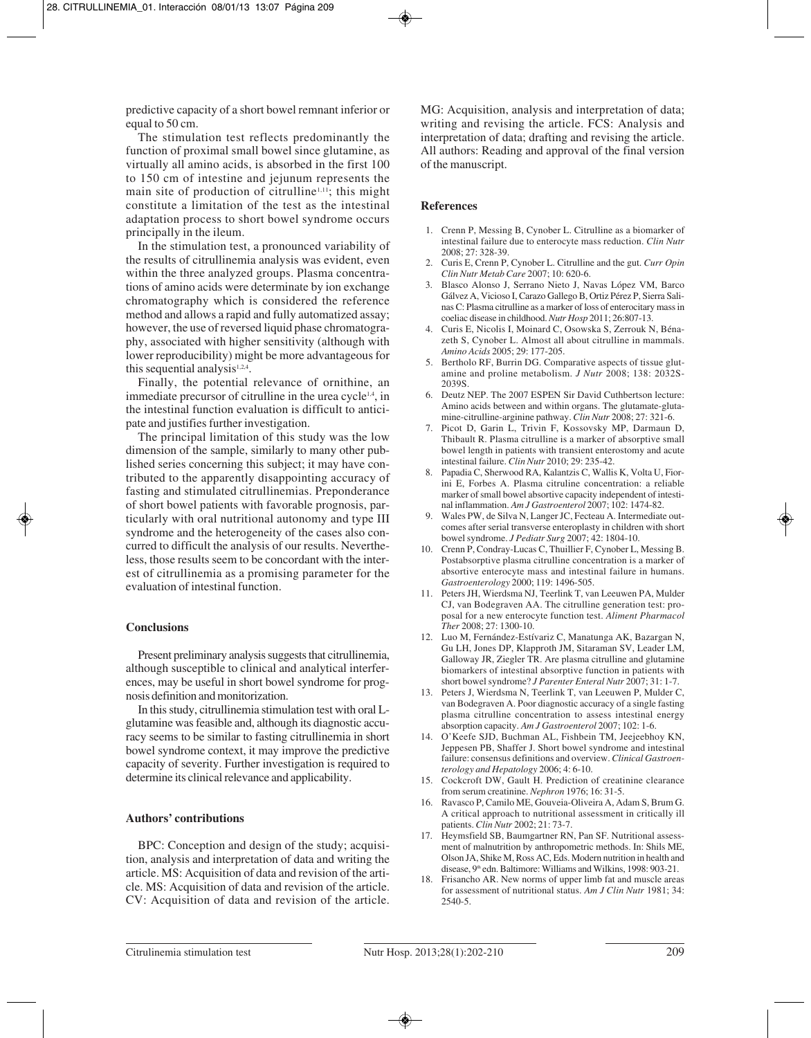predictive capacity of a short bowel remnant inferior or equal to 50 cm.

The stimulation test reflects predominantly the function of proximal small bowel since glutamine, as virtually all amino acids, is absorbed in the first 100 to 150 cm of intestine and jejunum represents the main site of production of citrulline<sup>1,11</sup>; this might constitute a limitation of the test as the intestinal adaptation process to short bowel syndrome occurs principally in the ileum.

In the stimulation test, a pronounced variability of the results of citrullinemia analysis was evident, even within the three analyzed groups. Plasma concentrations of amino acids were determinate by ion exchange chromatography which is considered the reference method and allows a rapid and fully automatized assay; however, the use of reversed liquid phase chromatography, associated with higher sensitivity (although with lower reproducibility) might be more advantageous for this sequential analysis $1,2,4$ .

Finally, the potential relevance of ornithine, an immediate precursor of citrulline in the urea cycle<sup>1,4</sup>, in the intestinal function evaluation is difficult to anticipate and justifies further investigation.

The principal limitation of this study was the low dimension of the sample, similarly to many other published series concerning this subject; it may have contributed to the apparently disappointing accuracy of fasting and stimulated citrullinemias. Preponderance of short bowel patients with favorable prognosis, particularly with oral nutritional autonomy and type III syndrome and the heterogeneity of the cases also concurred to difficult the analysis of our results. Nevertheless, those results seem to be concordant with the interest of citrullinemia as a promising parameter for the evaluation of intestinal function.

## **Conclusions**

Present preliminary analysis suggests that citrullinemia, although susceptible to clinical and analytical interferences, may be useful in short bowel syndrome for prognosis definition and monitorization.

In this study, citrullinemia stimulation test with oral Lglutamine was feasible and, although its diagnostic accuracy seems to be similar to fasting citrullinemia in short bowel syndrome context, it may improve the predictive capacity of severity. Further investigation is required to determine its clinical relevance and applicability.

## **Authors' contributions**

BPC: Conception and design of the study; acquisition, analysis and interpretation of data and writing the article. MS: Acquisition of data and revision of the article. MS: Acquisition of data and revision of the article. CV: Acquisition of data and revision of the article. MG: Acquisition, analysis and interpretation of data; writing and revising the article. FCS: Analysis and interpretation of data; drafting and revising the article. All authors: Reading and approval of the final version of the manuscript.

#### **References**

- 1. Crenn P, Messing B, Cynober L. Citrulline as a biomarker of intestinal failure due to enterocyte mass reduction. *Clin Nutr* 2008; 27: 328-39.
- 2. Curis E, Crenn P, Cynober L. Citrulline and the gut. *Curr Opin Clin Nutr Metab Care* 2007; 10: 620-6.
- 3. Blasco Alonso J, Serrano Nieto J, Navas López VM, Barco Gálvez A, Vicioso I, Carazo Gallego B, Ortiz Pérez P, Sierra Salinas C: Plasma citrulline as a marker of loss of enterocitary mass in coeliac disease in childhood. *Nutr Hosp* 2011; 26:807-13.
- 4. Curis E, Nicolis I, Moinard C, Osowska S, Zerrouk N, Bénazeth S, Cynober L. Almost all about citrulline in mammals. *Amino Acids* 2005; 29: 177-205.
- 5. Bertholo RF, Burrin DG. Comparative aspects of tissue glutamine and proline metabolism. *J Nutr* 2008; 138: 2032S-2039S.
- 6. Deutz NEP. The 2007 ESPEN Sir David Cuthbertson lecture: Amino acids between and within organs. The glutamate-glutamine-citrulline-arginine pathway. *Clin Nutr* 2008; 27: 321-6.
- 7. Picot D, Garin L, Trivin F, Kossovsky MP, Darmaun D, Thibault R. Plasma citrulline is a marker of absorptive small bowel length in patients with transient enterostomy and acute intestinal failure. *Clin Nutr* 2010; 29: 235-42.
- 8. Papadia C, Sherwood RA, Kalantzis C, Wallis K, Volta U, Fiorini E, Forbes A. Plasma citruline concentration: a reliable marker of small bowel absortive capacity independent of intestinal inflammation. *Am J Gastroenterol* 2007; 102: 1474-82.
- 9. Wales PW, de Silva N, Langer JC, Fecteau A. Intermediate outcomes after serial transverse enteroplasty in children with short bowel syndrome. *J Pediatr Surg* 2007; 42: 1804-10.
- 10. Crenn P, Condray-Lucas C, Thuillier F, Cynober L, Messing B. Postabsorptive plasma citrulline concentration is a marker of absortive enterocyte mass and intestinal failure in humans. *Gastroenterology* 2000; 119: 1496-505.
- 11. Peters JH, Wierdsma NJ, Teerlink T, van Leeuwen PA, Mulder CJ, van Bodegraven AA. The citrulline generation test: proposal for a new enterocyte function test. *Aliment Pharmacol Ther* 2008; 27: 1300-10.
- 12. Luo M, Fernández-Estívariz C, Manatunga AK, Bazargan N, Gu LH, Jones DP, Klapproth JM, Sitaraman SV, Leader LM, Galloway JR, Ziegler TR. Are plasma citrulline and glutamine biomarkers of intestinal absorptive function in patients with short bowel syndrome? *J Parenter Enteral Nutr* 2007; 31: 1-7.
- 13. Peters J, Wierdsma N, Teerlink T, van Leeuwen P, Mulder C, van Bodegraven A. Poor diagnostic accuracy of a single fasting plasma citrulline concentration to assess intestinal energy absorption capacity. *Am J Gastroenterol* 2007; 102: 1-6.
- 14. O'Keefe SJD, Buchman AL, Fishbein TM, Jeejeebhoy KN, Jeppesen PB, Shaffer J. Short bowel syndrome and intestinal failure: consensus definitions and overview. *Clinical Gastroenterology and Hepatology* 2006; 4: 6-10.
- 15. Cockcroft DW, Gault H. Prediction of creatinine clearance from serum creatinine. *Nephron* 1976; 16: 31-5.
- 16. Ravasco P, Camilo ME, Gouveia-Oliveira A, Adam S, Brum G. A critical approach to nutritional assessment in critically ill patients. *Clin Nutr* 2002; 21: 73-7.
- 17. Heymsfield SB, Baumgartner RN, Pan SF. Nutritional assessment of malnutrition by anthropometric methods. In: Shils ME, Olson JA, Shike M, Ross AC, Eds. Modern nutrition in health and disease, 9<sup>th</sup> edn. Baltimore: Williams and Wilkins, 1998: 903-21.
- 18. Frisancho AR. New norms of upper limb fat and muscle areas for assessment of nutritional status. *Am J Clin Nutr* 1981; 34: 2540-5.